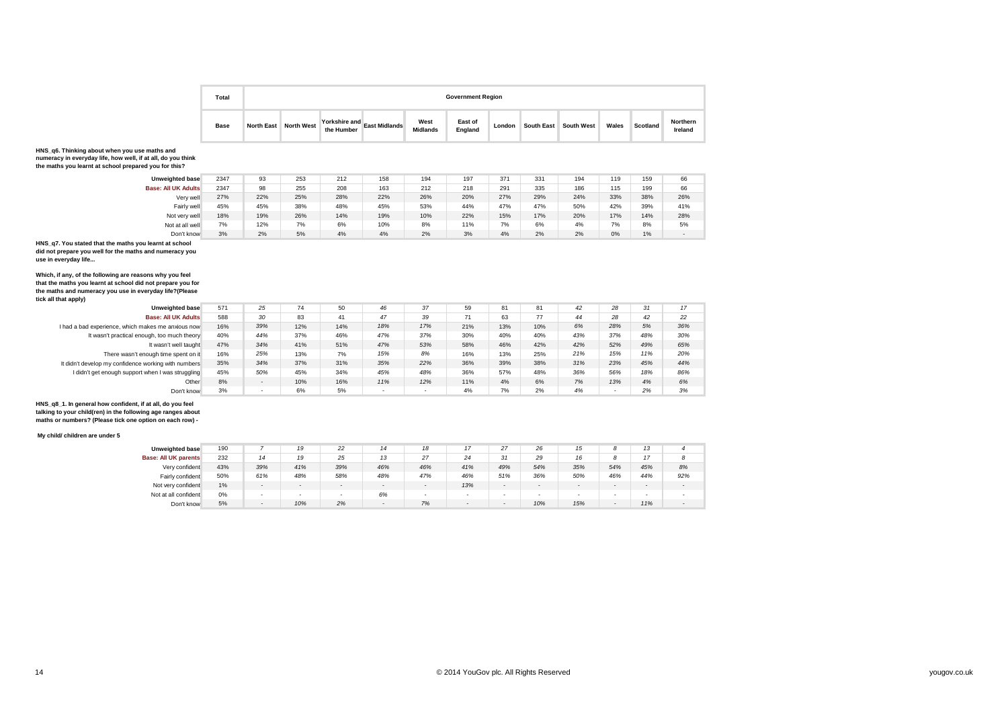| Total       |                   |                   |                             |                      |                         | <b>Government Region</b> |        |                       |       |          |                     |
|-------------|-------------------|-------------------|-----------------------------|----------------------|-------------------------|--------------------------|--------|-----------------------|-------|----------|---------------------|
| <b>Base</b> | <b>North East</b> | <b>North West</b> | Yorkshire and<br>the Humber | <b>East Midlands</b> | West<br><b>Midlands</b> | East of<br>England       | London | South East South West | Wales | Scotland | Northern<br>Ireland |

## **HNS\_q6. Thinking about when you use maths and numeracy in everyday life, how well, if at all, do you think the maths you learnt at school prepared you for this?**

|  | the matrix you learnt at scribble prepared you for this? |  |
|--|----------------------------------------------------------|--|
|  |                                                          |  |

| <b>Unweighted base</b>     | 2347 | 93  | 253 | 212 | 158 | 194 | 197 | 371 | 331 | 194 | 119 | 159 | 66     |
|----------------------------|------|-----|-----|-----|-----|-----|-----|-----|-----|-----|-----|-----|--------|
| <b>Base: All UK Adults</b> | 2347 | 98  | 255 | 208 | 163 | 212 | 218 | 291 | 335 | 186 | 115 | 199 | 66     |
| Very well                  | 27%  | 22% | 25% | 28% | 22% | 26% | 20% | 27% | 29% | 24% | 33% | 38% | 26%    |
| Fairly well                | 45%  | 45% | 38% | 48% | 45% | 53% | 44% | 47% | 47% | 50% | 42% | 39% | 41%    |
| Not very well              | 18%  | 19% | 26% | 14% | 19% | 10% | 22% | 15% | 17% | 20% | 17% | 14% | 28%    |
| Not at all well            | 7%   | 12% | 7%  | 6%  | 10% | 8%  | 11% | 7%  | 6%  | 4%  | 7%  | 8%  | 5%     |
| Don't know                 | 3%   | 2%  | 5%  | 4%  | 4%  | 2%  | 3%  | 4%  | 2%  | 2%  | 0%  | 1%  | $\sim$ |
| .                          |      |     |     |     |     |     |     |     |     |     |     |     |        |

# Don't know 3% **HNS\_q7. You stated that the maths you learnt at school did not prepare you well for the maths and numeracy you use in everyday life...**

Which, if any, of the following are reasons why you feel<br>that the maths you learnt at school did not prepare you for<br>the maths and numeracy you use in everyday life?(Please<br>tick all that apply)

| <b>Unweighted base</b>                               | 571 | 25  | 74  | 50  | 46                       | 37                       | 59  | 81  | 81  | 42  | 28  | 31  | 17  |
|------------------------------------------------------|-----|-----|-----|-----|--------------------------|--------------------------|-----|-----|-----|-----|-----|-----|-----|
| <b>Base: All UK Adults</b>                           | 588 | 30  | 83  | 41  | 47                       | 39                       | 71  | 63  | 77  | 44  | 28  | 42  | 22  |
| I had a bad experience, which makes me anxious now   | 16% | 39% | 12% | 14% | 18%                      | 17%                      | 21% | 13% | 10% | 6%  | 28% | 5%  | 36% |
| It wasn't practical enough, too much theory          | 40% | 44% | 37% | 46% | 47%                      | 37%                      | 30% | 40% | 40% | 43% | 37% | 48% | 30% |
| It wasn't well taught                                | 47% | 34% | 41% | 51% | 47%                      | 53%                      | 58% | 46% | 42% | 42% | 52% | 49% | 65% |
| There wasn't enough time spent on it                 | 16% | 25% | 13% | 7%  | 15%                      | 8%                       | 16% | 13% | 25% | 21% | 15% | 11% | 20% |
| It didn't develop my confidence working with numbers | 35% | 34% | 37% | 31% | 35%                      | 22%                      | 36% | 39% | 38% | 31% | 23% | 45% | 44% |
| I didn't get enough support when I was struggling    | 45% | 50% | 45% | 34% | 45%                      | 48%                      | 36% | 57% | 48% | 36% | 56% | 18% | 86% |
| Other                                                | 8%  |     | 10% | 16% | 11%                      | 12%                      | 11% | 4%  | 6%  | 7%  | 13% | 4%  | 6%  |
| Don't know                                           | 3%  |     | 6%  | 5%  | $\overline{\phantom{0}}$ | $\overline{\phantom{0}}$ | 4%  | 7%  | 2%  | 4%  |     | 2%  | 3%  |

**HNS\_q8\_1. In general how confident, if at all, do you feel talking to your child(ren) in the following age ranges about maths or numbers? (Please tick one option on each row) -**

#### **My child/ children are under 5**

| <b>Unweighted base</b>      | 190 |     | 19     | 22                       | 14     | 18     | 17  | 27     | 26     | 15     |        | 13     |     |
|-----------------------------|-----|-----|--------|--------------------------|--------|--------|-----|--------|--------|--------|--------|--------|-----|
| <b>Base: All UK parents</b> | 232 | 14  | 19     | 25                       | 13     | 27     | 24  | 31     | 29     | 16     |        |        |     |
| Very confident              | 43% | 39% | 41%    | 39%                      | 46%    | 46%    | 41% | 49%    | 54%    | 35%    | 54%    | 45%    | 8%  |
| Fairly confident            | 50% | 61% | 48%    | 58%                      | 48%    | 47%    | 46% | 51%    | 36%    | 50%    | 46%    | 44%    | 92% |
| Not very confident          | 1%  |     | $\sim$ | $\overline{a}$           | $\sim$ | $\sim$ | 13% | $\sim$ | $\sim$ | $\sim$ | $\sim$ | $\sim$ | -   |
| Not at all confident        | 0%  |     | -      | $\overline{\phantom{a}}$ | 6%     | $\sim$ | ۰.  | $\sim$ |        |        |        |        |     |
| Don't know                  | 5%  | -   | 10%    | 2%                       | $\sim$ | 7%     |     | $\sim$ | 10%    | 15%    |        | 11%    |     |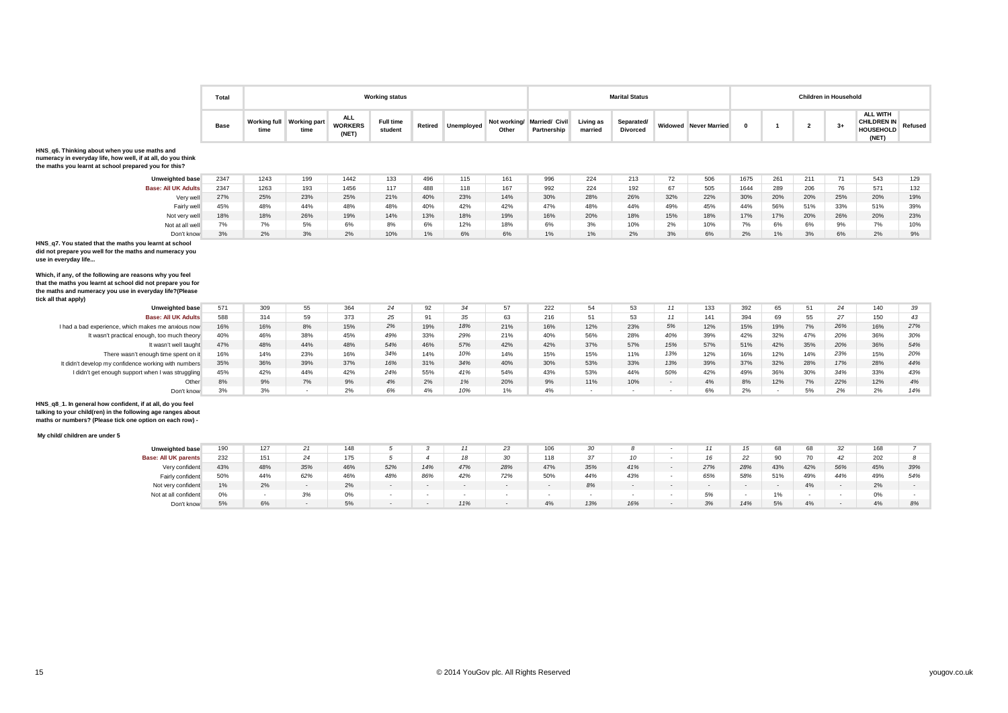

|                                                                                                                                                                                    | Total       |                      |                             |                                       | <b>Working status</b>       |       |                    |                       |                               |                      | <b>Marital Status</b>         |        |                              |              |     |                | <b>Children in Household</b> |                                                                    |          |
|------------------------------------------------------------------------------------------------------------------------------------------------------------------------------------|-------------|----------------------|-----------------------------|---------------------------------------|-----------------------------|-------|--------------------|-----------------------|-------------------------------|----------------------|-------------------------------|--------|------------------------------|--------------|-----|----------------|------------------------------|--------------------------------------------------------------------|----------|
|                                                                                                                                                                                    | <b>Base</b> | Working full<br>time | <b>Working part</b><br>time | <b>ALL</b><br><b>WORKERS</b><br>(NET) | <b>Full time</b><br>student |       | Retired Unemployed | Not working/<br>Other | Married/ Civil<br>Partnership | Living as<br>married | Separated/<br><b>Divorced</b> |        | <b>Widowed</b> Never Married | $\mathbf{0}$ |     | $\overline{2}$ | $3+$                         | <b>ALL WITH</b><br><b>CHILDREN IN</b><br><b>HOUSEHOLD</b><br>(NET) | Refused  |
| HNS q6. Thinking about when you use maths and<br>numeracy in everyday life, how well, if at all, do you think<br>the maths you learnt at school prepared you for this?             |             |                      |                             |                                       |                             |       |                    |                       |                               |                      |                               |        |                              |              |     |                |                              |                                                                    |          |
| <b>Unweighted base</b>                                                                                                                                                             | 2347        | 1243                 | 199                         | 1442                                  | 133                         | 496   | 115                | 161                   | 996                           | 224                  | 213                           | 72     | 506                          | 1675         | 261 | 211            | 71                           | 543                                                                | 129      |
| <b>Base: All UK Adults</b>                                                                                                                                                         | 2347        | 1263                 | 193                         | 1456                                  | 117                         | 488   | 118                | 167                   | 992                           | 224                  | 192                           | 67     | 505                          | 1644         | 289 | 206            | 76                           | 571                                                                | 132      |
| Verv well                                                                                                                                                                          | 27%         | 25%                  | 23%                         | 25%                                   | 21%                         | 40%   | 23%                | 14%                   | 30%                           | 28%                  | 26%                           | 32%    | 22%                          | 30%          | 20% | 20%            | 25%                          | 20%                                                                | 19%      |
| Fairly well                                                                                                                                                                        | 45%         | 48%                  | 44%                         | 48%                                   | 48%                         | 40%   | 42%                | 42%                   | 47%                           | 48%                  | 44%                           | 49%    | 45%                          | 44%          | 56% | 51%            | 33%                          | 51%                                                                | 39%      |
| Not very well                                                                                                                                                                      | 18%         | 18%                  | 26%                         | 19%                                   | 14%                         | 13%   | 18%                | 19%                   | 16%                           | 20%                  | 18%                           | 15%    | 18%                          | 17%          | 17% | 20%            | 26%                          | 20%                                                                | 23%      |
|                                                                                                                                                                                    |             | 7%                   | 5%                          | 6%                                    | 8%                          | 6%    | 12%                | 18%                   | 6%                            | 3%                   | 10%                           | 2%     | 10%                          | 7%           | 6%  | 6%             | 9%                           | 7%                                                                 | 10%      |
| Not at all well                                                                                                                                                                    | 7%          |                      |                             |                                       |                             |       |                    |                       |                               |                      | 2%                            |        |                              | 2%           | 1%  | 3%             | 6%                           | 2%                                                                 | 9%       |
| Don't know<br>HNS q7. You stated that the maths you learnt at school<br>did not prepare you well for the maths and numeracy you<br>use in everyday life                            | 3%          | 2%                   | 3%                          | 2%                                    | 10%                         | $1\%$ | 6%                 | 6%                    | $1\%$                         | $1\%$                |                               | 3%     | 6%                           |              |     |                |                              |                                                                    |          |
| Which, if any, of the following are reasons why you feel<br>that the maths you learnt at school did not prepare you for<br>the maths and numeracy you use in everyday life?(Please |             |                      |                             |                                       |                             |       |                    |                       |                               |                      |                               |        |                              |              |     |                |                              |                                                                    |          |
| tick all that apply)<br><b>Unweighted base</b>                                                                                                                                     | 571         | 309                  | 55                          | 364                                   | 24                          | 92    | 34                 | 57                    | 222                           | 54                   | 53                            | 11     | 133                          | 392          | 65  | 51             | 24                           | 140                                                                |          |
| <b>Base: All UK Adults</b>                                                                                                                                                         | 588         | 314                  | 59                          | 373                                   | 25                          | 91    | 35                 | 63                    | 216                           | 51                   | 53                            | 11     | 141                          | 394          | 69  | 55             | 27                           | 150                                                                | 39<br>43 |
| I had a bad experience, which makes me anxious now                                                                                                                                 | 16%         | 16%                  | 8%                          | 15%                                   | 2%                          | 19%   | 18%                | 21%                   | 16%                           | 12%                  | 23%                           | 5%     | 12%                          | 15%          | 19% | 7%             | 26%                          | 16%                                                                | 27%      |
| It wasn't practical enough, too much theory                                                                                                                                        | 40%         | 46%                  | 38%                         | 45%                                   | 49%                         | 33%   | 29%                | 21%                   | 40%                           | 56%                  | 28%                           | 40%    | 39%                          | 42%          | 32% | 47%            | 20%                          | 36%                                                                | 30%      |
| It wasn't well taught                                                                                                                                                              | 47%         | 48%                  | 44%                         | 48%                                   | 54%                         | 46%   | 57%                | 42%                   | 42%                           | 37%                  | 57%                           | 15%    | 57%                          | 51%          | 42% | 35%            | 20%                          | 36%                                                                | 54%      |
| There wasn't enough time spent on it                                                                                                                                               | 16%         | 14%                  | 23%                         | 16%                                   | 34%                         | 14%   | 10%                | 14%                   | 15%                           | 15%                  | 11%                           | 13%    | 12%                          | 16%          | 12% | 14%            | 23%                          | 15%                                                                | 20%      |
| It didn't develop my confidence working with numbers                                                                                                                               | 35%         | 36%                  | 39%                         | 37%                                   | 16%                         | 31%   | 34%                | 40%                   | 30%                           | 53%                  | 33%                           | 13%    | 39%                          | 37%          | 32% | 28%            | 17%                          | 28%                                                                | 44%      |
| I didn't get enough support when I was struggling                                                                                                                                  | 45%         | 42%                  | 44%                         | 42%                                   | 24%                         | 55%   | 41%                | 54%                   | 43%                           | 53%                  | 44%                           | 50%    | 42%                          | 49%          | 36% | 30%            | 34%                          | 33%                                                                | 43%      |
| Other                                                                                                                                                                              | 8%          | 9%                   | 7%                          | 9%                                    | 4%                          | 2%    | 1%                 | 20%                   | 9%                            | 11%                  | 10%                           | $\sim$ | 4%                           | 8%           | 12% | 7%             | 22%                          | 12%                                                                | 4%       |

#### **My child/ children are under 5**

| <b>Unweighted base</b>      | 190 | 127 |     | 148 |     |     | $\overline{A}$ | 23     | 106    | 30  |        |                          |     |     | 68                       |     | 32     | 1CQ<br>1 O C |     |
|-----------------------------|-----|-----|-----|-----|-----|-----|----------------|--------|--------|-----|--------|--------------------------|-----|-----|--------------------------|-----|--------|--------------|-----|
| <b>Base: All UK parents</b> | 232 | 151 |     | 175 |     |     |                | 30     | 118    | 37  |        |                          |     | 22  | ററ                       |     | 42     | 202          |     |
| Very confident              | 43% | 48% | 35% | 46% | 52% | 14% | 47%            | 28%    | 47%    | 35% | 41%    | $\overline{\phantom{0}}$ | 27% | 28% | 43%                      | 42% | 56%    | 45%          | 39% |
| Fairly confident            | 50% | 44% | 62% | 46% | 48% | 86% | 42%            | 72%    | 50%    | 44% | 43%    | $\overline{\phantom{a}}$ | 65% | 58% | 51%                      | 49% | 44%    | 49%          | 54% |
| Not very confident          | 1%  | 2%  |     | 2%  |     |     | $\sim$         | $\sim$ | $\sim$ | 8%  | $\sim$ | $\overline{\phantom{0}}$ |     |     | $\overline{\phantom{0}}$ | 4%  | $\sim$ | 2%           |     |
| Not at all confident        | 0%  |     | 3%  | 0%  |     |     |                |        | . .    |     |        | $\overline{\phantom{a}}$ | 5%  |     | 1%                       |     |        | $\sim$<br>U% |     |
| Don't know                  | 5%  | 6%  |     | 5%  |     |     | 11%            |        | 4%     | 13% | 16%    | $\overline{\phantom{a}}$ | 3%  | 14% | 5%                       | 4%  |        | ADI<br>$4\%$ |     |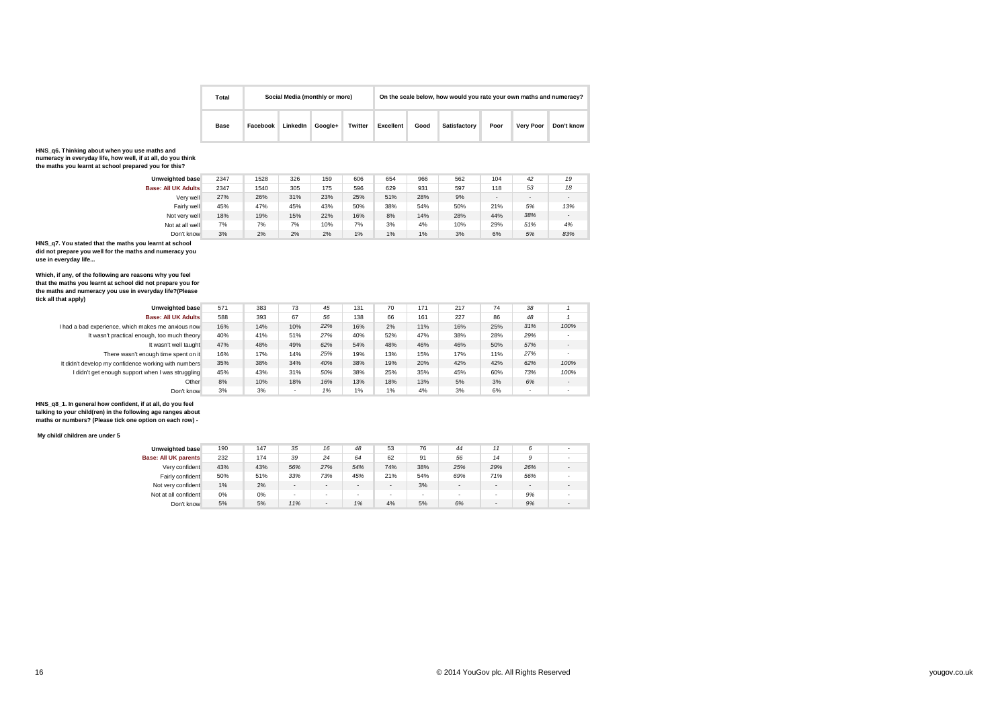

| Total       |          | Social Media (monthly or more) |         |         |           |      | On the scale below, how would you rate your own maths and numeracy? |      |                  |            |  |
|-------------|----------|--------------------------------|---------|---------|-----------|------|---------------------------------------------------------------------|------|------------------|------------|--|
| <b>Base</b> | Facebook | LinkedIn                       | Google+ | Twitter | Excellent | Good | Satisfactory                                                        | Poor | <b>Very Poor</b> | Don't know |  |

#### **HNS\_q6. Thinking about when you use maths and numeracy in everyday life, how well, if at all, do you think**

**the maths you learnt at school prepared you for this?**

| <b>Unweighted base</b>     | 2347 | 1528 | 326 | 159 | 606   | 654 | 966 | 562 | 104                      | 42                       | 19     |
|----------------------------|------|------|-----|-----|-------|-----|-----|-----|--------------------------|--------------------------|--------|
| <b>Base: All UK Adults</b> | 2347 | 1540 | 305 | 175 | 596   | 629 | 931 | 597 | 118                      | 53                       | 18     |
| Verv well                  | 27%  | 26%  | 31% | 23% | 25%   | 51% | 28% | 9%  | $\overline{\phantom{0}}$ | $\overline{\phantom{a}}$ |        |
| Fairly well                | 45%  | 47%  | 45% | 43% | 50%   | 38% | 54% | 50% | 21%                      | 5%                       | 13%    |
| Not very well              | 18%  | 19%  | 15% | 22% | 16%   | 8%  | 14% | 28% | 44%                      | 38%                      | $\sim$ |
| Not at all well            | 7%   | 7%   | 7%  | 10% | 7%    | 3%  | 4%  | 10% | 29%                      | 51%                      | 4%     |
| Don't know                 | 3%   | 2%   | 2%  | 2%  | $1\%$ | 1%  | 1%  | 3%  | 6%                       | 5%                       | 83%    |

**HNS\_q7. You stated that the maths you learnt at school did not prepare you well for the maths and numeracy you use in everyday life...**

**Which, if any, of the following are reasons why you feel that the maths you learnt at school did not prepare you for the maths and numeracy you use in everyday life?(Please tick all that apply)**

| .                                                    |     |     |     |     |     |     |     |     |     |     |                          |
|------------------------------------------------------|-----|-----|-----|-----|-----|-----|-----|-----|-----|-----|--------------------------|
| <b>Unweighted base</b>                               | 571 | 383 | 73  | 45  | 131 | 70  | 171 | 217 | 74  | 38  |                          |
| <b>Base: All UK Adults</b>                           | 588 | 393 | 67  | 56  | 138 | 66  | 161 | 227 | 86  | 48  |                          |
| I had a bad experience, which makes me anxious now   | 16% | 14% | 10% | 22% | 16% | 2%  | 11% | 16% | 25% | 31% | 100%                     |
| It wasn't practical enough, too much theory          | 40% | 41% | 51% | 27% | 40% | 52% | 47% | 38% | 28% | 29% |                          |
| It wasn't well taught                                | 47% | 48% | 49% | 62% | 54% | 48% | 46% | 46% | 50% | 57% | $\overline{\phantom{a}}$ |
| There wasn't enough time spent on it                 | 16% | 17% | 14% | 25% | 19% | 13% | 15% | 17% | 11% | 27% |                          |
| It didn't develop my confidence working with numbers | 35% | 38% | 34% | 40% | 38% | 19% | 20% | 42% | 42% | 62% | 100%                     |
| I didn't get enough support when I was struggling    | 45% | 43% | 31% | 50% | 38% | 25% | 35% | 45% | 60% | 73% | 100%                     |
| Other                                                | 8%  | 10% | 18% | 16% | 13% | 18% | 13% | 5%  | 3%  | 6%  | $\overline{\phantom{a}}$ |
| Don't know                                           | 3%  | 3%  |     | 1%  | 1%  | 1%  | 4%  | 3%  | 6%  |     |                          |

**HNS\_q8\_1. In general how confident, if at all, do you feel talking to your child(ren) in the following age ranges about maths or numbers? (Please tick one option on each row) -**

#### **My child/ children are under 5**

| <b>Unweighted base</b> | 190   | 147   | 35                       | 16                       | 48                       | 53                       | 76  | 44     |                          |        |  |
|------------------------|-------|-------|--------------------------|--------------------------|--------------------------|--------------------------|-----|--------|--------------------------|--------|--|
| Base: All UK parents   | 232   | 174   | 39                       | 24                       | 64                       | 62                       | 91  | 56     | 14                       | 9      |  |
| Very confident         | 43%   | 43%   | 56%                      | 27%                      | 54%                      | 74%                      | 38% | 25%    | 29%                      | 26%    |  |
| Fairly confident       | 50%   | 51%   | 33%                      | 73%                      | 45%                      | 21%                      | 54% | 69%    | 71%                      | 56%    |  |
| Not very confident     | 1%    | 2%    | $\overline{\phantom{0}}$ | $\overline{\phantom{a}}$ | $\sim$                   | $\overline{\phantom{0}}$ | 3%  | ۰      | $\overline{\phantom{0}}$ | $\sim$ |  |
| Not at all confident   | $0\%$ | $0\%$ | $\overline{\phantom{a}}$ | -                        | $\overline{\phantom{a}}$ | $\overline{\phantom{0}}$ |     | $\sim$ | $\overline{\phantom{a}}$ | 9%     |  |
| Don't know             | 5%    | 5%    | 11%                      | $\overline{\phantom{0}}$ | 1%                       | 4%                       | 5%  | 6%     | $\overline{\phantom{0}}$ | 9%     |  |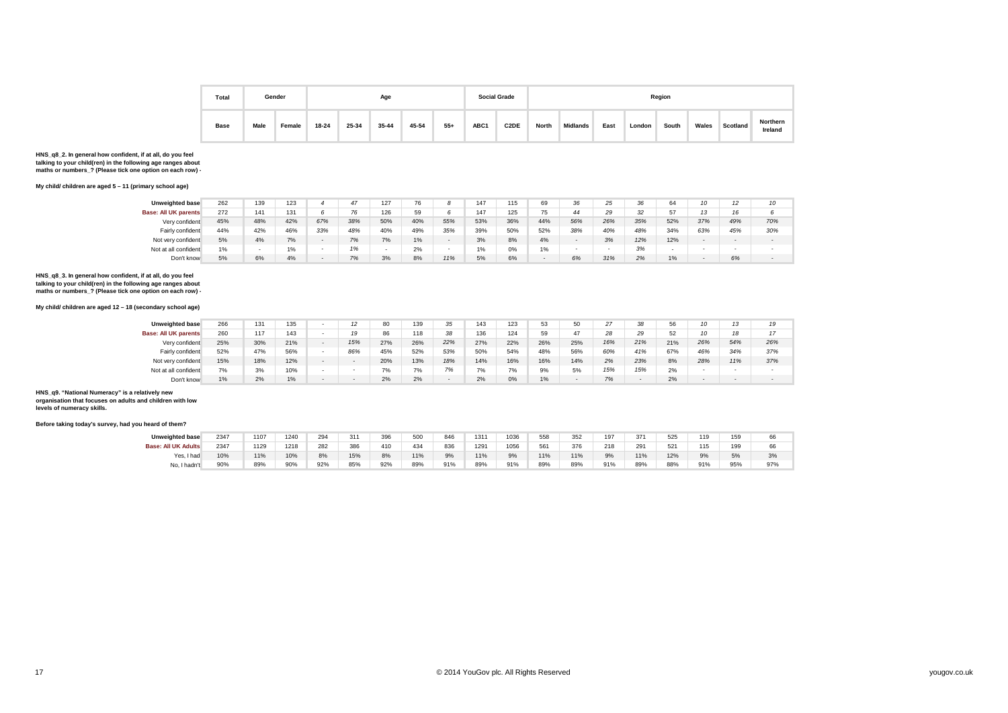

| Total       |      | Gender |           |       | Age       |       |       |      | <b>Social Grade</b> |       |          |      |        | Region |       |          |                     |
|-------------|------|--------|-----------|-------|-----------|-------|-------|------|---------------------|-------|----------|------|--------|--------|-------|----------|---------------------|
| <b>Base</b> | Male | Female | $18 - 24$ | 25-34 | $35 - 44$ | 45-54 | $55+$ | ABC1 | C <sub>2</sub> DE   | North | Midlands | East | London | South  | Wales | Scotland | Northern<br>Ireland |

#### **My child/ children are aged 5 – 11 (primary school age)**

| <b>Unweighted base</b>      | 262 | 139                      | 123   |     | 47  | 127 | 76  |                          | 147   | 115 | 69                       | 36                       | 25                       | 36  | 64     |        |                          | 10  |
|-----------------------------|-----|--------------------------|-------|-----|-----|-----|-----|--------------------------|-------|-----|--------------------------|--------------------------|--------------------------|-----|--------|--------|--------------------------|-----|
| <b>Base: All UK parents</b> | 272 | 141                      | 131   |     | 76  | 126 | 59  |                          | 147   | 125 | 75                       | 44                       | 29                       | 32  | 57     |        | 16                       |     |
| Very confident              | 45% | 48%                      | 42%   | 67% | 38% | 50% | 40% | 55%                      | 53%   | 36% | 44%                      | 56%                      | 26%                      | 35% | 52%    | 37%    | 49%                      | 70% |
| Fairly confident            | 44% | 42%                      | 46%   | 33% | 48% | 40% | 49% | 35%                      | 39%   | 50% | 52%                      | 38%                      | 40%                      | 48% | 34%    | 63%    | 45%                      | 30% |
| Not very confident          | 5%  | 4%                       | 7%    |     | 7%  | 7%  | 1%  | $\overline{\phantom{a}}$ | 3%    | 8%  | 4%                       | $\overline{\phantom{a}}$ | 3%                       | 12% | 12%    |        | $\overline{\phantom{a}}$ |     |
| Not at all confident        | 1%  | $\overline{\phantom{a}}$ | 1%    | . . | 1%  | . . | 2%  | $\overline{\phantom{a}}$ | $1\%$ | 0%  | 1%                       | $\overline{\phantom{a}}$ | $\overline{\phantom{a}}$ | 3%  | $\sim$ | $\sim$ | $\overline{\phantom{a}}$ |     |
| Don't know                  | 5%  | 6%                       | $4\%$ |     | 7%  | 3%  | 8%  | 11%                      | 5%    | 6%  | $\overline{\phantom{a}}$ | 6%                       | 31%                      | 2%  | 1%     |        | 6%                       |     |

**HNS\_q8\_3. In general how confident, if at all, do you feel talking to your child(ren) in the following age ranges about maths or numbers\_? (Please tick one option on each row) -** 

#### **My child/ children are aged 12 – 18 (secondary school age)**

| <b>Unweighted base</b>      | 266 | 131 | 135 | 12                       | 80  | 139 | 35  | 143 | 123 | 53  | 50                       | 27  | 38  | 56  | 10  |     | 19  |
|-----------------------------|-----|-----|-----|--------------------------|-----|-----|-----|-----|-----|-----|--------------------------|-----|-----|-----|-----|-----|-----|
| <b>Base: All UK parents</b> | 260 | 117 | 143 | 19                       | 86  | 118 | 38  | 136 | 124 | 59  | 47                       | 28  | 29  | 52  | 10  | 40  |     |
| Very confident              | 25% | 30% | 21% | 15%                      | 27% | 26% | 22% | 27% | 22% | 26% | 25%                      | 16% | 21% | 21% | 26% | 54% | 26% |
| Fairly confident            | 52% | 47% | 56% | 86%                      | 45% | 52% | 53% | 50% | 54% | 48% | 56%                      | 60% | 41% | 67% | 46% | 34% | 37% |
| Not very confident          | 15% | 18% | 12% | $\overline{\phantom{a}}$ | 20% | 13% | 18% | 14% | 16% | 16% | 14%                      | 2%  | 23% | 8%  | 28% | 11% | 37% |
| Not at all confident        | 7%  | 3%  | 10% | $\overline{\phantom{a}}$ | 7%  | 7%  | 7%  | 7%  | 7%  | 9%  | 5%                       | 15% | 15% | 2%  |     |     |     |
| Don't know                  | 1%  | 2%  | 1%  | $\overline{\phantom{a}}$ | 2%  | 2%  |     | 2%  | 0%  | 1%  | $\overline{\phantom{0}}$ | 7%  |     | 2%  |     |     |     |

**HNS\_q9. "National Numeracy" is a relatively new organisation that focuses on adults and children with low** 

**levels of numeracy skills.**

| <b>Unweighted base</b>     | 2347 | 1107 | 1240        | 294 | 311 | 396 | 500 | 846 | 131' | 1036 | 558         | 352 | 197 | 371    | 525 | 119 | 159 |     |
|----------------------------|------|------|-------------|-----|-----|-----|-----|-----|------|------|-------------|-----|-----|--------|-----|-----|-----|-----|
| <b>Base: All UK Adults</b> | 2347 | 1129 | 1218<br>___ | 282 | 386 | 410 | 434 | 836 | 1291 | 1056 | 561<br>$ -$ | 376 | 218 | $29 -$ | 521 | 115 | 199 |     |
| Yes, I had                 | 10%  | 11%  | 10%         | 8%  | 15% | 8%  | 11% | 9%  | 11%  | 9%   | 11%         | 11% | 9%  | 11%    | 12% |     | 5%  | 3%  |
| No. I hadn't               | 90%  | 89%  | 90%         | 92% | 85% | 92% | 89% | 91% | 89%  | 91%  | 89%         | 89% | 91% | 89%    | 88% | 91% | 95% | 97% |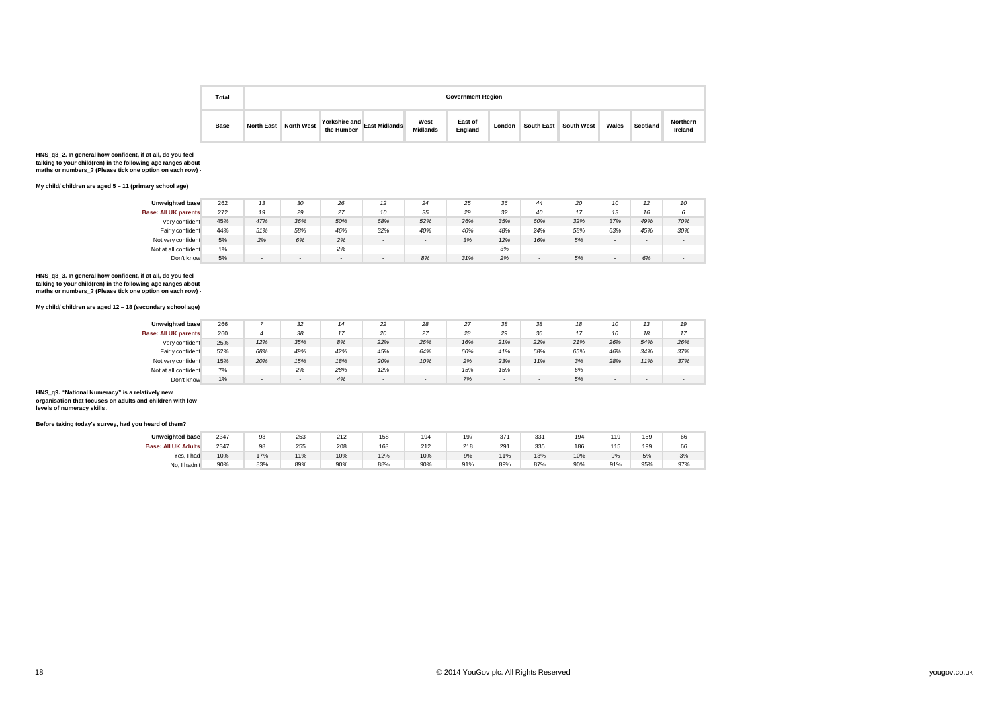

| Total       |                   |                   |            |                             |                         | <b>Government Region</b> |        |                   |            |       |          |                     |
|-------------|-------------------|-------------------|------------|-----------------------------|-------------------------|--------------------------|--------|-------------------|------------|-------|----------|---------------------|
| <b>Base</b> | <b>North East</b> | <b>North West</b> | the Humber | Yorkshire and East Midlands | West<br><b>Midlands</b> | East of<br>England       | London | <b>South East</b> | South West | Wales | Scotland | Northern<br>Ireland |

#### **My child/ children are aged 5 – 11 (primary school age)**

| Unweighted base             | 262 | 4 <sup>2</sup>           | 30  | 26     | 12  | 24                       | 25  | 36  | 44                       | 20                       | 10                       | 12                       | 10                       |
|-----------------------------|-----|--------------------------|-----|--------|-----|--------------------------|-----|-----|--------------------------|--------------------------|--------------------------|--------------------------|--------------------------|
| <b>Base: All UK parents</b> | 272 | 19                       | 29  | 27     | 10  | 35                       | 29  | 32  | 40                       | 47                       | 42                       | 16                       | 6                        |
| Very confident              | 45% | 47%                      | 36% | 50%    | 68% | 52%                      | 26% | 35% | 60%                      | 32%                      | 37%                      | 49%                      | 70%                      |
| Fairly confident            | 44% | 51%                      | 58% | 46%    | 32% | 40%                      | 40% | 48% | 24%                      | 58%                      | 63%                      | 45%                      | 30%                      |
| Not very confident          | 5%  | 2%                       | 6%  | 2%     |     | $\overline{\phantom{0}}$ | 3%  | 12% | 16%                      | 5%                       | $\overline{\phantom{a}}$ | $\overline{\phantom{0}}$ | $\overline{\phantom{a}}$ |
| Not at all confident        | 1%  | $\overline{\phantom{a}}$ |     | 2%     |     |                          |     | 3%  | $\overline{\phantom{a}}$ | $\overline{\phantom{a}}$ | $\overline{\phantom{a}}$ | $\overline{\phantom{a}}$ | $\sim$                   |
| Don't know                  | 5%  | $\sim$                   |     | $\sim$ |     | 8%                       | 31% | 2%  | $\overline{\phantom{0}}$ | 5%                       | $\sim$                   | 6%                       |                          |

**HNS\_q8\_3. In general how confident, if at all, do you feel talking to your child(ren) in the following age ranges about maths or numbers\_? (Please tick one option on each row) -** 

#### **My child/ children are aged 12 – 18 (secondary school age)**

| <b>Unweighted base</b>      | 266 |                          | 32     | 14  | 22  | 28                       | 27  | 38                       | 38                       | 18  | 10                       | 12                       | 19                       |
|-----------------------------|-----|--------------------------|--------|-----|-----|--------------------------|-----|--------------------------|--------------------------|-----|--------------------------|--------------------------|--------------------------|
| <b>Base: All UK parents</b> | 260 |                          | 38     | 17  | 20  | 27                       | 28  | 29                       | 36                       | 17  | 10                       | 18                       | 17                       |
| Very confident              | 25% | 12%                      | 35%    | 8%  | 22% | 26%                      | 16% | 21%                      | 22%                      | 21% | 26%                      | 54%                      | 26%                      |
| Fairly confident            | 52% | 68%                      | 49%    | 42% | 45% | 64%                      | 60% | 41%                      | 68%                      | 65% | 46%                      | 34%                      | 37%                      |
| Not very confident          | 15% | 20%                      | 15%    | 18% | 20% | 10%                      | 2%  | 23%                      | 11%                      | 3%  | 28%                      | 11%                      | 37%                      |
| Not at all confident        | 7%  | $\overline{\phantom{a}}$ | 2%     | 28% | 12% | $\overline{\phantom{a}}$ | 15% | 15%                      | $\overline{\phantom{0}}$ | 6%  | $\overline{\phantom{a}}$ | $\sim$                   | $\overline{\phantom{a}}$ |
| Don't know                  | 1%  | $\overline{\phantom{a}}$ | $\sim$ | 4%  |     | $\overline{\phantom{a}}$ | 7%  | $\overline{\phantom{0}}$ | $\sim$                   | 5%  | $\sim$                   | $\overline{\phantom{a}}$ | $\sim$                   |

**HNS\_q9. "National Numeracy" is a relatively new organisation that focuses on adults and children with low levels of numeracy skills.**

| <b>Unweighted base</b>     | 2347 | 93  | 253      | 212        | 158      | 194 | 197       | 371           | 331 | 194        | 119       | 159 | 66  |
|----------------------------|------|-----|----------|------------|----------|-----|-----------|---------------|-----|------------|-----------|-----|-----|
| <b>Base: All UK Adults</b> | 2347 | 98  | 255<br>. | 208<br>$-$ | 163<br>. | 212 | 218<br>__ | 291<br>$\sim$ | 335 | 186<br>$-$ | 115<br>10 | 199 | 66  |
| Yes, I had                 | 10%  | 17% | 11%      | 10%        | 12%      | 10% | 9%        | 11%           | 13% | 10%        | 9%        | 5%  | 3%  |
| No, I hadn't               | 90%  | 83% | 89%      | 90%        | 88%      | 90% | 91%       | 89%           | 87% | 90%        | 91%       | 95% | 97% |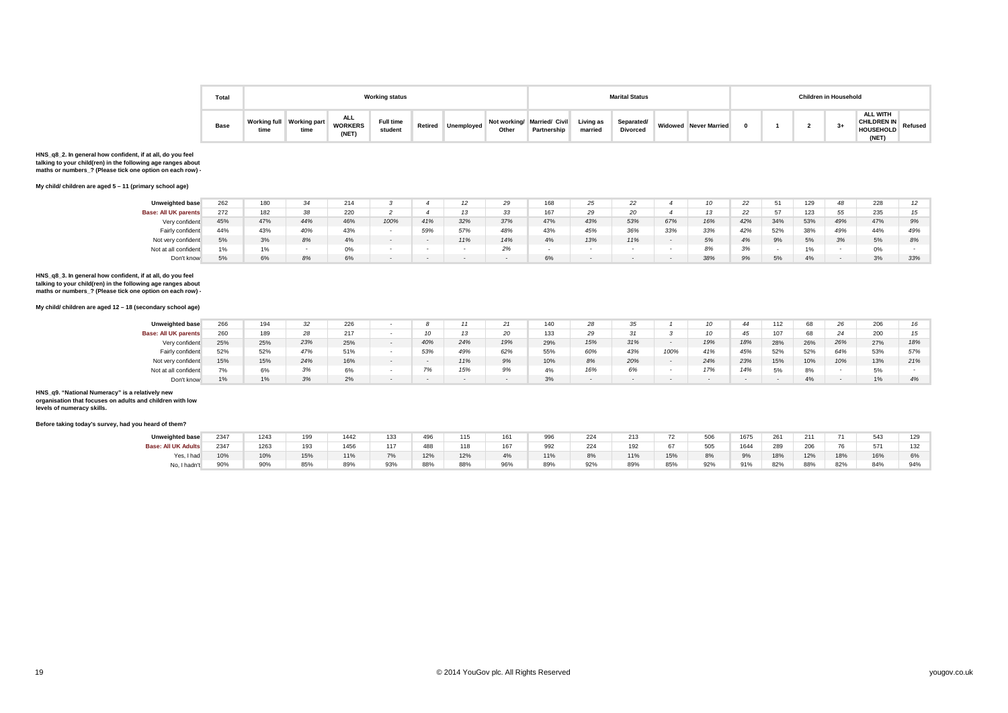

| Total       |                             |                             |                                      | <b>Working status</b>       |         |            |       |                                            |                             | <b>Marital Status</b>         |                              |  | <b>Children in Household</b> |                                                                     |  |
|-------------|-----------------------------|-----------------------------|--------------------------------------|-----------------------------|---------|------------|-------|--------------------------------------------|-----------------------------|-------------------------------|------------------------------|--|------------------------------|---------------------------------------------------------------------|--|
| <b>Base</b> | <b>Working full</b><br>time | <b>Working part</b><br>time | <b>ALL</b><br><b>WORKERS</b><br>(NET | <b>Full time</b><br>student | Retired | Unemployed | Other | Not working/ Married/ Civil<br>Partnership | <b>Living as</b><br>married | Separated/<br><b>Divorced</b> | <b>Widowed Never Married</b> |  | 3+                           | <b>ALL WITH</b><br><b>CHILDREN IN</b><br>HOUSEHOLD Refused<br>(NET) |  |

#### **My child/ children are aged 5 – 11 (primary school age)**

| <b>Unweighted base</b>      | 262 | 180 | 34  | 214 |      |     |     | 29                       | 169<br>1 UU | 25  | 22  |        |     |     |     | 129 |     | 228 |     |
|-----------------------------|-----|-----|-----|-----|------|-----|-----|--------------------------|-------------|-----|-----|--------|-----|-----|-----|-----|-----|-----|-----|
| <b>Base: All UK parents</b> | 272 | 182 | 38  | 220 |      |     |     | 33                       | 167         | 29  |     |        | 13  |     |     | 123 | 55  | 235 |     |
| Very confident              | 45% | 47% | 44% | 46% | 100% | 41% | 32% | 37%                      | 47%         | 43% | 53% | 67%    | 16% | 42% | 34% | 53% | 49% | 47% | 9%  |
| Fairly confident            | 44% | 43% | 40% | 43% |      | 59% | 57% | 48%                      | 43%         | 45% | 36% | 33%    | 33% | 42% | 52% | 38% | 49% | 44% | 49% |
| Not very confident          | 5%  | 3%  | 8%  | 4%  |      |     | 11% | 14%                      | 4%          | 13% | 11% |        | 5%  | 4%  | 9%  | 5%  | 3%  | 5%  | 8%  |
| Not at all confident        | 1%  | 1%  |     | 0%  |      |     |     | 2%                       |             |     |     | $\sim$ | 8%  | 3%  |     | 1%  |     | 0%  |     |
| Don't know                  | 5%  | 6%  | 8%  | 6%  |      |     |     | $\overline{\phantom{a}}$ | 6%          |     |     |        | 38% | 9%  | 5%  | 4%  |     | 3%  | 33% |

**HNS\_q8\_3. In general how confident, if at all, do you feel talking to your child(ren) in the following age ranges about maths or numbers\_? (Please tick one option on each row) -** 

#### **My child/ children are aged 12 – 18 (secondary school age)**

| <b>Unweighted base</b>      | 266 | 194 |     | 226 |     |     |     | 140 | 28  |     |      |     |     | 112 | 68  | 26  | 20 <sup>o</sup><br>ZUD |     |
|-----------------------------|-----|-----|-----|-----|-----|-----|-----|-----|-----|-----|------|-----|-----|-----|-----|-----|------------------------|-----|
| <b>Base: All UK parents</b> | 260 | 189 |     | 217 |     |     |     | 133 | 29  |     |      |     | 45  |     | 68  |     | 200                    |     |
| Very confident              | 25% | 25% | 23% | 25% | 40% | 24% | 19% | 29% | 15% | 31% |      | 19% | 18% | 28% | 26% | 26% | 27%                    | 18% |
| Fairly confident            | 52% | 52% | 47% | 51% | 53% | 49% | 62% | 55% | 60% | 43% | 100% | 41% | 45% | 52% | 52% | 64% | 53%                    | 57% |
| Not very confident          | 15% | 15% | 24% | 16% |     | 11% | 9%  | 10% | 8%  | 20% |      | 24% | 23% | 15% | 10% | 10% | 13%                    | 21% |
| Not at all confident        |     | 6%  | 3%  | 6%  | 7%  | 15% | 9%  | 4%  | 16% | 6%  |      | 17% | 14% | 5%  | 8%  |     | $- -$<br>$5\%$         |     |
| Don't know                  | 1%  | 1%  | 3%  | 2%  |     |     |     | 3%  |     |     |      |     |     |     | 4%  |     |                        | 4%  |

### **HNS\_q9. "National Numeracy" is a relatively new organisation that focuses on adults and children with low**

**levels of numeracy skills.**

| <b>Unweighted base</b>     | 2347 | 1243            | 199 | 1442 | 133 | 496 | 115 | 161 | 996 | 224          | 213         | 72  | 506 | 1675 | 261 | 211 | 74  | 543 | 129             |
|----------------------------|------|-----------------|-----|------|-----|-----|-----|-----|-----|--------------|-------------|-----|-----|------|-----|-----|-----|-----|-----------------|
| <b>Base: All UK Adults</b> | 2347 |                 | 103 | 1456 | 117 | 488 | 118 | 167 | 992 | 224          | 102<br>  ⊌∠ | 67  | 505 | 1644 | 289 | 206 | 76  | 571 | 132             |
| Yes, I had                 | 10%  | 10%             | 15% | 11%  | 7%  | 12% | 12% | 4%  | 11% | $\sim$<br>8% | 11%         | 15% | 8%  | 9%   | 18% | 12% | 18% | 16% | $\sim$<br>$6\%$ |
| No. I hadn't               | 90%  | 00 <sub>0</sub> | 85% | 89%  | 93% | 88% | 88% | 96% | 89% | 92%          | 89%         | 85% | 92% | 91%  | 82% | 88% | 82% | 84% | 94%             |